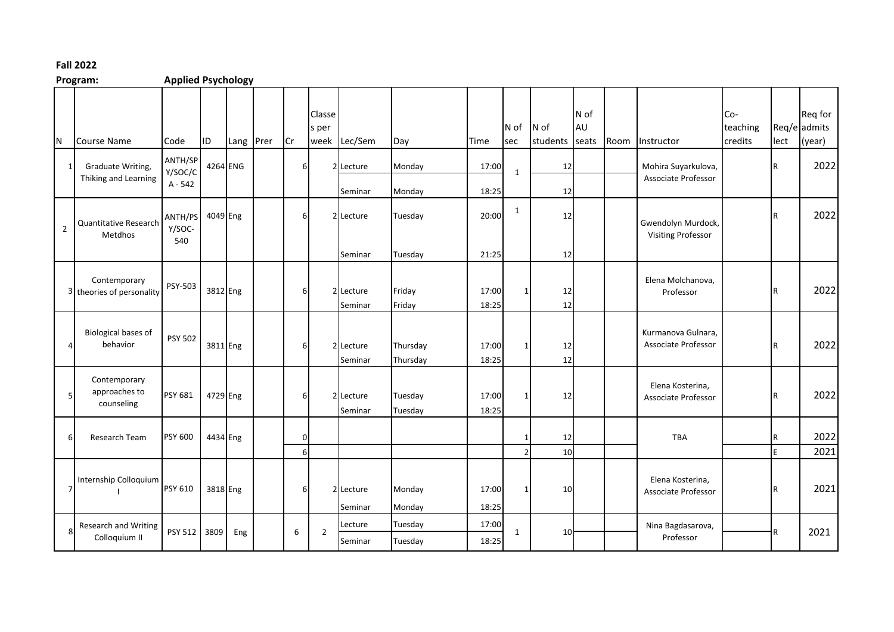## **Fall 2022**

## **Program: Applied Psychology**

| N              | Course Name                                          | Code                          | ID       | Lang Prer | <b>Cr</b>      | Classe<br>s per | week Lec/Sem         | Day                  | Time           | N of<br>sec    | $N$ of<br>students | N of<br>AU<br>seats | Room | Instructor                                       | Co-<br>teaching<br>credits | lect     | Req for<br>Req/e admits<br>(year) |
|----------------|------------------------------------------------------|-------------------------------|----------|-----------|----------------|-----------------|----------------------|----------------------|----------------|----------------|--------------------|---------------------|------|--------------------------------------------------|----------------------------|----------|-----------------------------------|
| $\mathbf{1}$   | Graduate Writing,<br>Thiking and Learning            | ANTH/SP<br>Y/SOC/C<br>A - 542 | 4264 ENG |           | 6              |                 | 2 Lecture<br>Seminar | Monday<br>Monday     | 17:00<br>18:25 | $\mathbf{1}$   | 12<br>12           |                     |      | Mohira Suyarkulova,<br>Associate Professor       |                            | R        | 2022                              |
| $\overline{2}$ | Quantitative Research<br>Metdhos                     | ANTH/PS<br>Y/SOC-<br>540      | 4049 Eng |           | $6 \mid$       |                 | 2 Lecture<br>Seminar | Tuesday<br>Tuesday   | 20:00<br>21:25 | $\mathbf{1}$   | 12<br>12           |                     |      | Gwendolyn Murdock,<br><b>Visiting Professor</b>  |                            | IR.      | 2022                              |
|                | Contemporary<br><sup>3</sup> theories of personality | PSY-503                       | 3812 Eng |           | 6              |                 | 2 Lecture<br>Seminar | Friday<br>Friday     | 17:00<br>18:25 |                | 12<br>12           |                     |      | Elena Molchanova,<br>Professor                   |                            | IR       | 2022                              |
|                | Biological bases of<br>behavior                      | <b>PSY 502</b>                | 3811 Eng |           | 6              |                 | 2 Lecture<br>Seminar | Thursday<br>Thursday | 17:00<br>18:25 |                | 12<br>12           |                     |      | Kurmanova Gulnara,<br><b>Associate Professor</b> |                            | lR.      | 2022                              |
| 5              | Contemporary<br>approaches to<br>counseling          | PSY 681                       | 4729 Eng |           | 6              |                 | 2 Lecture<br>Seminar | Tuesday<br>Tuesday   | 17:00<br>18:25 |                | 12                 |                     |      | Elena Kosterina,<br>Associate Professor          |                            | R        | 2022                              |
| 6              | <b>Research Team</b>                                 | <b>PSY 600</b>                | 4434 Eng |           | $\Omega$<br>6I |                 |                      |                      |                | $\overline{2}$ | 12<br>10           |                     |      | <b>TBA</b>                                       |                            | lR.<br>F | 2022<br>2021                      |
| $\overline{7}$ | Internship Colloquium                                | PSY 610                       | 3818 Eng |           | 6              |                 | 2 Lecture<br>Seminar | Monday<br>Monday     | 17:00<br>18:25 |                | 10                 |                     |      | Elena Kosterina,<br>Associate Professor          |                            | R        | 2021                              |
| 8              | <b>Research and Writing</b><br>Colloquium II         | PSY 512                       | 3809     | Eng       | 6              | $\overline{2}$  | Lecture<br>Seminar   | Tuesday<br>Tuesday   | 17:00<br>18:25 | 1              | 10 <sup>1</sup>    |                     |      | Nina Bagdasarova,<br>Professor                   |                            | R        | 2021                              |